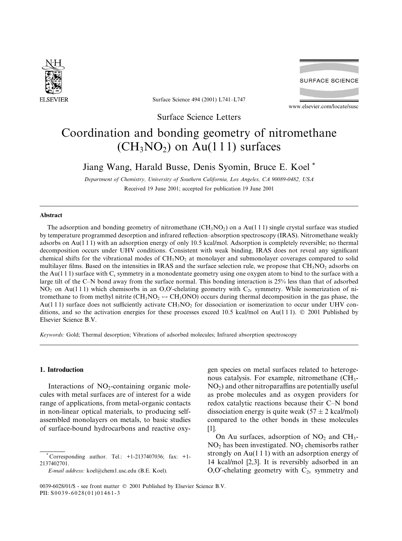

**SURFACE SCIENCE** 

Surface Science 494 (2001) L741-L747

www.elsevier.com/locate/susc

Surface Science Letters

# Coordination and bonding geometry of nitromethane  $(CH<sub>3</sub>NO<sub>2</sub>)$  on Au(111) surfaces

# Jiang Wang, Harald Busse, Denis Syomin, Bruce E. Koel<sup>\*</sup>

Department of Chemistry, University of Southern California, Los Angeles, CA 90089-0482, USA Received 19 June 2001; accepted for publication 19 June 2001

## **Abstract**

The adsorption and bonding geometry of nitromethane  $(CH_3NO_2)$  on a Au(111) single crystal surface was studied by temperature programmed desorption and infrared reflection-absorption spectroscopy (IRAS). Nitromethane weakly adsorbs on Au(111) with an adsorption energy of only 10.5 kcal/mol. Adsorption is completely reversible; no thermal decomposition occurs under UHV conditions. Consistent with weak binding, IRAS does not reveal any significant chemical shifts for the vibrational modes of  $CH<sub>3</sub>NO<sub>2</sub>$  at monolayer and submonolayer coverages compared to solid multilayer films. Based on the intensities in IRAS and the surface selection rule, we propose that  $CH<sub>3</sub>NO<sub>2</sub>$  adsorbs on the Au(1 1 1) surface with  $C_s$  symmetry in a monodentate geometry using one oxygen atom to bind to the surface with a large tilt of the C-N bond away from the surface normal. This bonding interaction is 25% less than that of adsorbed  $NO<sub>2</sub>$  on Au(111) which chemisorbs in an O,O'-chelating geometry with  $C<sub>2v</sub>$  symmetry. While isomerization of nitromethane to from methyl nitrite (CH<sub>3</sub>NO<sub>2</sub>  $\leftrightarrow$  CH<sub>3</sub>ONO) occurs during thermal decomposition in the gas phase, the Au(111) surface does not sufficiently activate  $CH_3NO_2$  for dissociation or isomerization to occur under UHV conditions, and so the activation energies for these processes exceed 10.5 kcal/mol on Au(111).  $\odot$  2001 Published by Elsevier Science B.V.

Keywords: Gold; Thermal desorption; Vibrations of adsorbed molecules; Infrared absorption spectroscopy

# 1. Introduction

Interactions of NO<sub>2</sub>-containing organic molecules with metal surfaces are of interest for a wide range of applications, from metal-organic contacts in non-linear optical materials, to producing selfassembled monolayers on metals, to basic studies of surface-bound hydrocarbons and reactive oxy-

gen species on metal surfaces related to heterogenous catalysis. For example, nitromethane (CH<sub>3</sub>- $NO<sub>2</sub>$ ) and other nitroparaffins are potentially useful as probe molecules and as oxygen providers for redox catalytic reactions because their C-N bond dissociation energy is quite weak  $(57 \pm 2 \text{ kcal/mol})$ compared to the other bonds in these molecules  $[1]$ .

On Au surfaces, adsorption of  $NO<sub>2</sub>$  and  $CH<sub>3</sub>$ - $NO<sub>2</sub>$  has been investigated.  $NO<sub>2</sub>$  chemisorbs rather strongly on  $Au(111)$  with an adsorption energy of 14 kcal/mol [2,3]. It is reversibly adsorbed in an O,O'-chelating geometry with  $C_{2v}$  symmetry and

Corresponding author. Tel.:  $+1-2137407036$ ; fax:  $+1-$ 2137402701.

E-mail address: koel@chem1.usc.edu (B.E. Koel).

<sup>0039-6028/01/\$ -</sup> see front matter © 2001 Published by Elsevier Science B.V. PII: S0039-6028(01)01461-3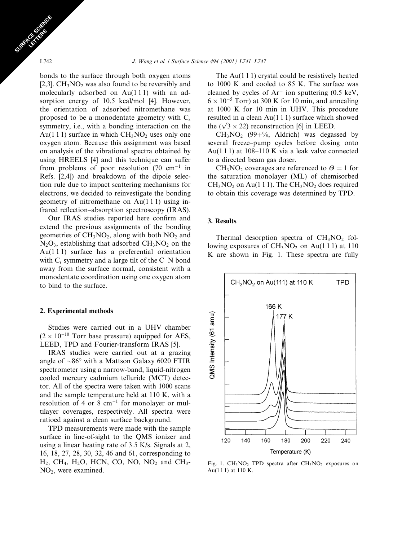bonds to the surface through both oxygen atoms [2,3].  $CH<sub>3</sub>NO<sub>2</sub>$  was also found to be reversibly and molecularly adsorbed on Au(111) with an adsorption energy of 10.5 kcal/mol [4]. However, the orientation of adsorbed nitromethane was proposed to be a monodentate geometry with  $C_s$ symmetry, *i.e.*, with a bonding interaction on the Au(1 1 1) surface in which  $CH<sub>3</sub>NO<sub>2</sub>$  uses only one oxygen atom. Because this assignment was based on analysis of the vibrational spectra obtained by using HREELS [4] and this technique can suffer from problems of poor resolution (70 cm<sup>-1</sup> in Refs. [2,4]) and breakdown of the dipole selection rule due to impact scattering mechanisms for electrons, we decided to reinvestigate the bonding geometry of nitromethane on  $Au(111)$  using infrared reflection-absorption spectroscopy (IRAS).

Our IRAS studies reported here confirm and extend the previous assignments of the bonding geometries of CH<sub>3</sub>NO<sub>2</sub>, along with both NO<sub>2</sub> and  $N_2O_3$ , establishing that adsorbed  $CH_3NO_2$  on the  $Au(111)$  surface has a preferential orientation with  $C_s$  symmetry and a large tilt of the C-N bond away from the surface normal, consistent with a monodentate coordination using one oxygen atom to bind to the surface.

# 2. Experimental methods

Studies were carried out in a UHV chamber  $(2 \times 10^{-10}$  Torr base pressure) equipped for AES, LEED, TPD and Fourier-transform IRAS [5].

IRAS studies were carried out at a grazing angle of  $\sim 86^\circ$  with a Mattson Galaxy 6020 FTIR spectrometer using a narrow-band, liquid-nitrogen cooled mercury cadmium telluride (MCT) detector. All of the spectra were taken with 1000 scans and the sample temperature held at 110 K, with a resolution of 4 or 8  $cm^{-1}$  for monolayer or multilayer coverages, respectively. All spectra were ratioed against a clean surface background.

TPD measurements were made with the sample surface in line-of-sight to the QMS ionizer and using a linear heating rate of 3.5 K/s. Signals at 2, 16, 18, 27, 28, 30, 32, 46 and 61, corresponding to  $H_2$ , CH<sub>4</sub>, H<sub>2</sub>O, HCN, CO, NO, NO<sub>2</sub> and CH<sub>3</sub>- $NO<sub>2</sub>$ , were examined.

The Au $(1 1 1)$  crystal could be resistively heated to 1000 K and cooled to 85 K. The surface was cleaned by cycles of  $Ar^+$  ion sputtering (0.5 keV,  $6 \times 10^{-5}$  Torr) at 300 K for 10 min, and annealing at 1000 K for 10 min in UHV. This procedure resulted in a clean  $Au(111)$  surface which showed the  $(\sqrt{3} \times 22)$  reconstruction [6] in LEED.

 $CH<sub>3</sub>NO<sub>2</sub>$  (99+%, Aldrich) was degassed by several freeze-pump cycles before dosing onto Au $(1\ 1\ 1)$  at  $108-110$  K via a leak valve connected to a directed beam gas doser.

CH<sub>3</sub>NO<sub>2</sub> coverages are referenced to  $\Theta = 1$  for the saturation monolayer (ML) of chemisorbed  $CH<sub>3</sub>NO<sub>2</sub>$  on Au(1 1 1). The CH<sub>3</sub>NO<sub>2</sub> does required to obtain this coverage was determined by TPD.

# 3. Results

Thermal desorption spectra of CH<sub>3</sub>NO<sub>2</sub> following exposures of  $CH<sub>3</sub>NO<sub>2</sub>$  on Au(111) at 110 K are shown in Fig. 1. These spectra are fully



Fig. 1.  $CH_3NO_2$  TPD spectra after  $CH_3NO_2$  exposures on Au $(111)$  at 110 K.

L742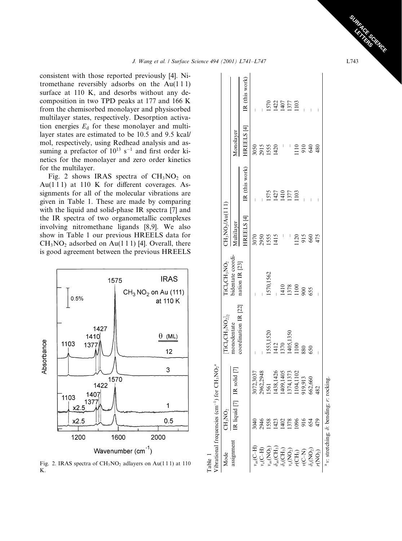consistent with those reported previously [4]. Nitromethane reversibly adsorbs on the  $Au(111)$ surface at 110 K, and desorbs without any decomposition in two TPD peaks at 177 and 166 K from the chemisorbed monolayer and physisorbed multilayer states, respectively. Desorption activation energies  $E_d$  for these monolayer and multilayer states are estimated to be 10.5 and 9.5 kcal/ mol, respectively, using Redhead analysis and assuming a prefactor of  $10^{13}$  s<sup>-1</sup> and first order kinetics for the monolayer and zero order kinetics for the multilayer.

Fig. 2 shows IRAS spectra of  $CH<sub>3</sub>NO<sub>2</sub>$  on Au(111) at 110 K for different coverages. Assignments for all of the molecular vibrations are given in Table 1. These are made by comparing with the liquid and solid-phase IR spectra [7] and the IR spectra of two organometallic complexes involving nitromethane ligands [8,9]. We also show in Table 1 our previous HREELS data for  $CH<sub>3</sub>NO<sub>2</sub>$  adsorbed on Au(111) [4]. Overall, there is good agreement between the previous HREELS



Fig. 2. IRAS spectra of  $CH<sub>3</sub>NO<sub>2</sub>$  adlayers on Au(111) at 110 K.

| <b>Table</b>                                                                                                                                      |                                             |                  |                                                    |                      |                       |                |                       |                      |
|---------------------------------------------------------------------------------------------------------------------------------------------------|---------------------------------------------|------------------|----------------------------------------------------|----------------------|-----------------------|----------------|-----------------------|----------------------|
|                                                                                                                                                   | 'ibrational frequencies (cm <sup>-1</sup> ) | for $CH_3NO_2^a$ |                                                    |                      |                       |                |                       |                      |
| Mode                                                                                                                                              | CH <sub>3</sub> NO <sub>2</sub>             |                  | $\rm{ICL}_4\rm{CH}_3\rm{NO}_2]_{\tiny\!\!2}$       | $\rm TiCl_4CH_3NO_2$ | $CH_3NO_2/Au(111)$    |                |                       |                      |
| assignment                                                                                                                                        | R liquid [7]                                | IR solid [7]     | coordination IR [22] nation IR [23]<br>monodentate | bidentate coordi-    | Multilayer            |                | Monolayer             |                      |
|                                                                                                                                                   |                                             |                  |                                                    |                      | HREELS <sup>[4]</sup> | IR (this work) | HREELS <sup>[4]</sup> | IR (this wor         |
| $H$ $\rightarrow$ $\mathbb{R}^{n}$                                                                                                                | 3040                                        | 3072,3037        |                                                    |                      | 3070                  |                | 3050                  |                      |
| $\widetilde{\mathrm{H}}$                                                                                                                          | 2946                                        | 2962,2948        |                                                    |                      | 2950                  |                |                       |                      |
| $v_{\rm as}({\rm NO_2})$                                                                                                                          | 1558                                        | 1561             | 553,1520                                           | 1570,1562            | 1555                  | 1575           | 2915<br>1555          | 1570                 |
| $\delta_{\rm as}({\rm CH}_3)$                                                                                                                     | 1423                                        | 1438,1426        | 1412                                               |                      | 1415                  | 1427           | 1420                  |                      |
|                                                                                                                                                   | $\frac{402}{2}$                             | 1409,1405        | 1370                                               | 1410                 |                       | 1410           |                       | 1427<br>1407<br>1377 |
|                                                                                                                                                   | 1378                                        | 1374,1373        |                                                    | 1378                 |                       | 1377           |                       |                      |
| $\begin{array}{l} \delta_{\rm s}({\rm CH}_3) \\ v_{\rm s}({\rm NO}_2) \\ r({\rm CH}_3) \\ v({\rm C-N}) \\ \delta_{\rm s}({\rm NO}_2) \end{array}$ | 1096                                        | 104,1102         | 1405,1350<br>1100                                  | 1100                 | $\frac{20}{2}$        | 1103           | $\frac{10}{10}$       | 1103                 |
|                                                                                                                                                   | 916                                         | 919,913          | 880                                                | 900                  | 915                   |                | 910                   |                      |
|                                                                                                                                                   | 654                                         | 662,660          | 650                                                | 555                  | 660                   |                | 640                   |                      |
| $r({\rm NO}_2)$                                                                                                                                   | 479                                         | 482              |                                                    |                      | 475                   |                | 480                   | I                    |
|                                                                                                                                                   | v: stretching; $\delta$ : bending; r:       | rocking.         |                                                    |                      |                       |                |                       |                      |

 $\left| \begin{array}{c} \end{array} \right|$ 

**CERCITY CREAT** L743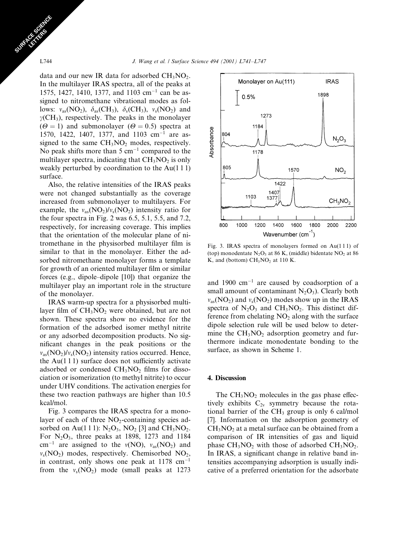data and our new IR data for adsorbed  $CH<sub>3</sub>NO<sub>2</sub>$ . In the multilayer IRAS spectra, all of the peaks at 1575, 1427, 1410, 1377, and 1103 cm<sup>-1</sup> can be assigned to nitromethane vibrational modes as follows:  $v_{as}(\text{NO}_2)$ ,  $\delta_{as}(\text{CH}_3)$ ,  $\delta_{s}(\text{CH}_3)$ ,  $v_{s}(\text{NO}_2)$  and  $\gamma$ (CH<sub>3</sub>), respectively. The peaks in the monolayer  $(\Theta = 1)$  and submonolayer  $(\Theta = 0.5)$  spectra at 1570, 1422, 1407, 1377, and 1103 cm<sup>-1</sup> are assigned to the same  $CH<sub>3</sub>NO<sub>2</sub>$  modes, respectively. No peak shifts more than  $5 \text{ cm}^{-1}$  compared to the multilayer spectra, indicating that  $CH<sub>3</sub>NO<sub>2</sub>$  is only weakly perturbed by coordination to the  $Au(111)$ surface.

Also, the relative intensities of the IRAS peaks were not changed substantially as the coverage increased from submonolayer to multilayers. For example, the  $v_{as}(\text{NO}_2)/v_s(\text{NO}_2)$  intensity ratio for the four spectra in Fig. 2 was 6.5, 5.1, 5.5, and 7.2, respectively, for increasing coverage. This implies that the orientation of the molecular plane of nitromethane in the physisorbed multilayer film is similar to that in the monolayer. Either the adsorbed nitromethane monolayer forms a template for growth of an oriented multilayer film or similar forces (e.g., dipole–dipole [10]) that organize the multilayer play an important role in the structure of the monolayer.

IRAS warm-up spectra for a physisorbed multilayer film of  $CH<sub>3</sub>NO<sub>2</sub>$  were obtained, but are not shown. These spectra show no evidence for the formation of the adsorbed isomer methyl nitrite or any adsorbed decomposition products. No significant changes in the peak positions or the  $v_{\rm as}(\rm NO_2)/v_s(\rm NO_2)$  intensity ratios occurred. Hence, the Au $(111)$  surface does not sufficiently activate adsorbed or condensed  $CH<sub>3</sub>NO<sub>2</sub>$  films for dissociation or isomerization (to methyl nitrite) to occur under UHV conditions. The activation energies for these two reaction pathways are higher than 10.5 kcal/mol.

Fig. 3 compares the IRAS spectra for a monolayer of each of three  $NO<sub>2</sub>$ -containing species adsorbed on Au(1 1 1):  $N_2O_3$ ,  $NO_2$  [3] and CH<sub>3</sub>NO<sub>2</sub>. For  $N_2O_3$ , three peaks at 1898, 1273 and 1184 cm<sup>-1</sup> are assigned to the  $v(NO)$ ,  $v_{as}(NO_2)$  and  $v_s(NO_2)$  modes, respectively. Chemisorbed  $NO_2$ , in contrast, only shows one peak at  $1178 \text{ cm}^{-1}$ from the  $v_s(NO_2)$  mode (small peaks at 1273



Fig. 3. IRAS spectra of monolayers formed on Au(111) of (top) monodentate  $N_2O_3$  at 86 K, (middle) bidentate  $NO_2$  at 86 K, and (bottom)  $CH<sub>3</sub>NO<sub>2</sub>$  at 110 K.

and 1900  $cm^{-1}$  are caused by coadsorption of a small amount of contaminant  $N_2O_3$ ). Clearly both  $v_{as}(\text{NO}_2)$  and  $v_s(\text{NO}_2)$  modes show up in the IRAS spectra of  $N_2O_3$  and  $CH_3NO_2$ . This distinct difference from chelating  $NO<sub>2</sub>$  along with the surface dipole selection rule will be used below to determine the  $CH<sub>3</sub>NO<sub>2</sub>$  adsorption geometry and furthermore indicate monodentate bonding to the surface, as shown in Scheme 1.

# 4. Discussion

The  $CH<sub>3</sub>NO<sub>2</sub>$  molecules in the gas phase effectively exhibits  $C_{2v}$  symmetry because the rotational barrier of the CH<sub>3</sub> group is only 6 cal/mol [7]. Information on the adsorption geometry of  $CH<sub>3</sub>NO<sub>2</sub>$  at a metal surface can be obtained from a comparison of IR intensities of gas and liquid phase  $CH_3NO_2$  with those of adsorbed  $CH_3NO_2$ . In IRAS, a significant change in relative band intensities accompanying adsorption is usually indicative of a preferred orientation for the adsorbate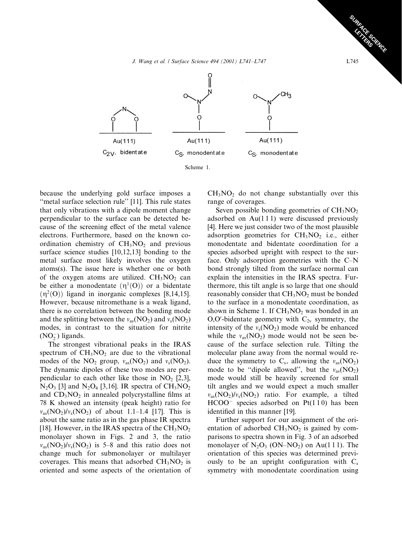J. Wang et al. / Surface Science 494 (2001) L741-L747



because the underlying gold surface imposes a "metal surface selection rule" [11]. This rule states that only vibrations with a dipole moment change perpendicular to the surface can be detected because of the screening effect of the metal valence electrons. Furthermore, based on the known coordination chemistry of  $CH<sub>3</sub>NO<sub>2</sub>$  and previous surface science studies  $[10,12,13]$  bonding to the metal surface most likely involves the oxygen atoms(s). The issue here is whether one or both of the oxygen atoms are utilized. CH<sub>3</sub>NO<sub>2</sub> can be either a monodentate  $(\eta^1(O))$  or a bidentate  $(\eta^2(O))$  ligand in inorganic complexes [8,14,15]. However, because nitromethane is a weak ligand, there is no correlation between the bonding mode and the splitting between the  $v_{as}(\text{NO}_2)$  and  $v_s(\text{NO}_2)$ modes, in contrast to the situation for nitrite  $(NO<sub>2</sub><sup>-</sup>)$  ligands.

The strongest vibrational peaks in the IRAS spectrum of  $CH<sub>3</sub>NO<sub>2</sub>$  are due to the vibrational modes of the  $NO_2$  group,  $v_{as}(NO_2)$  and  $v_s(NO_2)$ . The dynamic dipoles of these two modes are perpendicular to each other like those in  $NO<sub>2</sub>$  [2,3],  $N_2O_3$  [3] and  $N_2O_4$  [3,16]. IR spectra of CH<sub>3</sub>NO<sub>2</sub> and  $CD_3NO_2$  in annealed polycrystalline films at 78 K showed an intensity (peak height) ratio for  $v_{as} (NO_2)/v_s (NO_2)$  of about 1.1–1.4 [17]. This is about the same ratio as in the gas phase IR spectra [18]. However, in the IRAS spectra of the  $CH<sub>3</sub>NO<sub>2</sub>$ monolayer shown in Figs. 2 and 3, the ratio  $v_{as}(\text{NO}_2)/v_s(\text{NO}_2)$  is 5–8 and this ratio does not change much for submonolayer or multilayer coverages. This means that adsorbed  $CH<sub>3</sub>NO<sub>2</sub>$  is oriented and some aspects of the orientation of  $CH<sub>3</sub>NO<sub>2</sub>$  do not change substantially over this range of coverages.

Seven possible bonding geometries of  $CH<sub>3</sub>NO<sub>2</sub>$ adsorbed on Au(111) were discussed previously [4]. Here we just consider two of the most plausible adsorption geometries for  $CH<sub>3</sub>NO<sub>2</sub>$  i.e., either monodentate and bidentate coordination for a species adsorbed upright with respect to the surface. Only adsorption geometries with the C-N bond strongly tilted from the surface normal can explain the intensities in the IRAS spectra. Furthermore, this tilt angle is so large that one should reasonably consider that  $CH<sub>3</sub>NO<sub>2</sub>$  must be bonded to the surface in a monodentate coordination, as shown in Scheme 1. If  $CH<sub>3</sub>NO<sub>2</sub>$  was bonded in an  $O,O'$ -bidentate geometry with  $C_{2v}$  symmetry, the intensity of the  $v_s(NO_2)$  mode would be enhanced while the  $v_{as}(\text{NO}_2)$  mode would not be seen because of the surface selection rule. Tilting the molecular plane away from the normal would reduce the symmetry to  $C_s$ , allowing the  $v_{as}(\text{NO}_2)$ mode to be "dipole allowed", but the  $v_{as}(\text{NO}_2)$ mode would still be heavily screened for small tilt angles and we would expect a much smaller  $v_{as}(\text{NO}_2)/v_s(\text{NO}_2)$  ratio. For example, a tilted  $HCOO^-$  species adsorbed on  $Pt(110)$  has been identified in this manner [19].

Further support for our assignment of the orientation of adsorbed  $CH<sub>3</sub>NO<sub>2</sub>$  is gained by comparisons to spectra shown in Fig. 3 of an adsorbed monolayer of  $N_2O_3$  (ON–NO<sub>2</sub>) on Au(111). The orientation of this species was determined previously to be an upright configuration with  $C_s$ symmetry with monodentate coordination using

L745

**CARGORIUGE**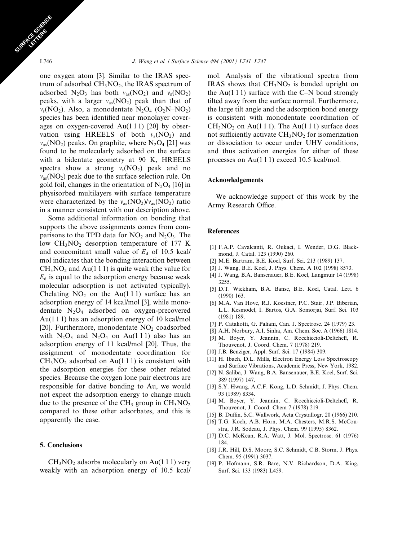one oxygen atom [3]. Similar to the IRAS spectrum of adsorbed  $CH<sub>3</sub>NO<sub>2</sub>$ , the IRAS spectrum of adsorbed  $N_2O_3$  has both  $v_{as}(NO_2)$  and  $v_s(NO_2)$ peaks, with a larger  $v_{as}(\text{NO}_2)$  peak than that of  $v_s(NO_2)$ . Also, a monodentate  $N_2O_4$  (O<sub>2</sub>N–NO<sub>2</sub>) species has been identified near monolayer coverages on oxygen-covered Au $(111)$  [20] by observation using HREELS of both  $v_s(NO_2)$  and  $v_{\rm as}(\rm NO_2)$  peaks. On graphite, where  $\rm N_2O_4$  [21] was found to be molecularly adsorbed on the surface with a bidentate geometry at 90 K, HREELS spectra show a strong  $v_s(NO_2)$  peak and no  $v_{\text{as}}(NO_2)$  peak due to the surface selection rule. On gold foil, changes in the orientation of  $N_2O_4$  [16] in physisorbed multilayers with surface temperature were characterized by the  $v_{as}(\text{NO}_2)/v_{as}(\text{NO}_2)$  ratio in a manner consistent with our description above.

Some additional information on bonding that supports the above assignments comes from comparisons to the TPD data for  $NO<sub>2</sub>$  and  $N<sub>2</sub>O<sub>3</sub>$ . The low  $CH<sub>3</sub>NO<sub>2</sub>$  desorption temperature of 177 K and concomitant small value of  $E_d$  of 10.5 kcal/ mol indicates that the bonding interaction between  $CH<sub>3</sub>NO<sub>2</sub>$  and Au(1 1 1) is quite weak (the value for  $E_d$  is equal to the adsorption energy because weak molecular adsorption is not activated typically). Chelating  $NO<sub>2</sub>$  on the Au(111) surface has an adsorption energy of 14 kcal/mol [3], while monodentate  $N_2O_4$  adsorbed on oxygen-precovered Au $(1 1 1)$  has an adsorption energy of 10 kcal/mol [20]. Furthermore, monodentate  $NO<sub>2</sub>$  coadsorbed with  $N_2O_3$  and  $N_2O_4$  on Au(111) also has an adsorption energy of 11 kcal/mol [20]. Thus, the assignment of monodentate coordination for  $CH<sub>3</sub>NO<sub>2</sub>$  adsorbed on Au(111) is consistent with the adsorption energies for these other related species. Because the oxygen lone pair electrons are responsible for dative bonding to Au, we would not expect the adsorption energy to change much due to the presence of the CH<sub>3</sub> group in  $CH<sub>3</sub>NO<sub>2</sub>$ compared to these other adsorbates, and this is apparently the case.

### 5. Conclusions

 $CH<sub>3</sub>NO<sub>2</sub>$  adsorbs molecularly on Au(111) very weakly with an adsorption energy of 10.5 kcal/ mol. Analysis of the vibrational spectra from IRAS shows that  $CH<sub>3</sub>NO<sub>2</sub>$  is bonded upright on the Au(111) surface with the C-N bond strongly tilted away from the surface normal. Furthermore, the large tilt angle and the adsorption bond energy is consistent with monodentate coordination of  $CH<sub>3</sub>NO<sub>2</sub>$  on Au(111). The Au(111) surface does not sufficiently activate  $CH<sub>3</sub>NO<sub>2</sub>$  for isomerization or dissociation to occur under UHV conditions, and thus activation energies for either of these processes on Au(111) exceed 10.5 kcal/mol.

#### **Acknowledgements**

We acknowledge support of this work by the Army Research Office.

### **References**

- [1] F.A.P. Cavalcanti, R. Oukaci, I. Wender, D.G. Blackmond, J. Catal. 123 (1990) 260.
- [2] M.E. Bartram, B.E. Koel, Surf. Sci. 213 (1989) 137.
- [3] J. Wang, B.E. Koel, J. Phys. Chem. A 102 (1998) 8573.
- [4] J. Wang, B.A. Bansenauer, B.E. Koel, Langmuir 14 (1998) 3255
- [5] D.T. Wickham, B.A. Banse, B.E. Koel, Catal. Lett. 6  $(1990)$  163.
- [6] M.A. Van Hove, R.J. Koestner, P.C. Stair, J.P. Biberian, L.L. Kesmodel, I. Bartos, G.A. Somorjai, Surf. Sci. 103  $(1981)$  189.
- [7] P. Cataliotti, G. Paliani, Can. J. Spectrosc. 24 (1979) 23.
- [8] A.H. Norbury, A.I. Sinha, Am. Chem. Soc. A (1966) 1814. [9] M. Boyer, Y. Jeannin, C. Rocchiccioli-Deltcheff, R.
- Thouvenot, J. Coord. Chem. 7 (1978) 219.
- [10] J.B. Benziger, Appl. Surf. Sci. 17 (1984) 309.
- [11] H. Ibach, D.L. Mills, Electron Energy Loss Spectroscopy and Surface Vibrations, Academic Press, New York, 1982.
- [12] N. Saliba, J. Wang, B.A. Bansenauer, B.E. Koel, Surf. Sci. 389 (1997) 147.
- [13] S.Y. Hwang, A.C.F. Kong, L.D. Schmidt, J. Phys. Chem. 93 (1989) 8334.
- [14] M. Boyer, Y. Jeannin, C. Rocchiccioli-Deltcheff, R. Thouvenot, J. Coord. Chem 7 (1978) 219.
- [15] B. Duffin, S.C. Wallwork, Acta Crystallogr. 20 (1966) 210.
- [16] T.G. Koch, A.B. Horn, M.A. Chesters, M.R.S. McCoustra, J.R. Sodeau, J. Phys. Chem. 99 (1995) 8362.
- [17] D.C. McKean, R.A. Watt, J. Mol. Spectrosc. 61 (1976) 184.
- [18] J.R. Hill, D.S. Moore, S.C. Schmidt, C.B. Storm, J. Phys. Chem. 95 (1991) 3037.
- [19] P. Hofmann, S.R. Bare, N.V. Richardson, D.A. King, Surf. Sci. 133 (1983) L459.